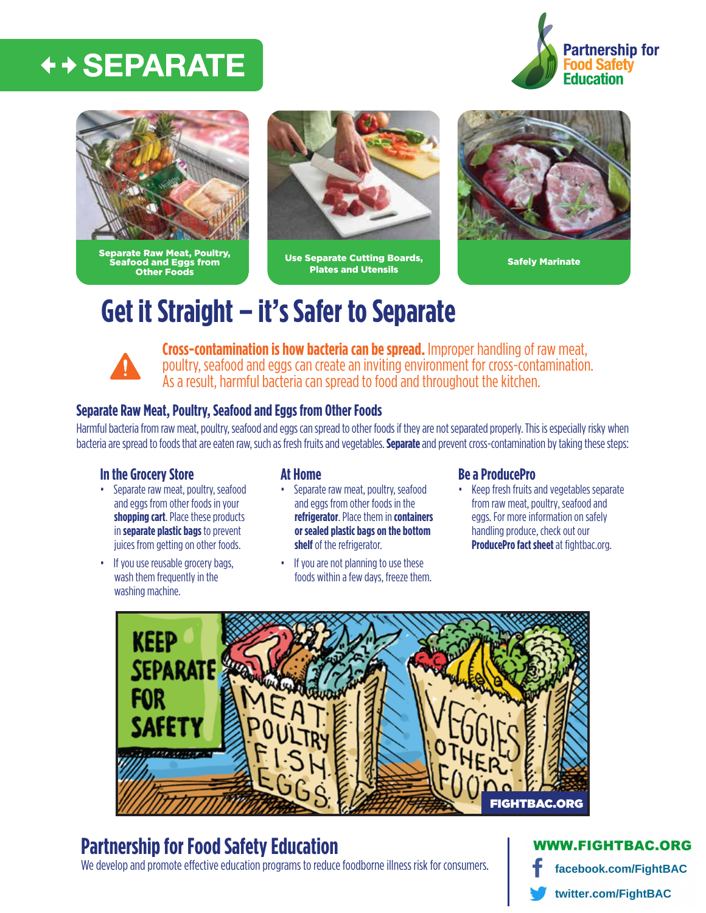## ← + SEPARATE





Separate Raw Meat, Poultry, Seafood and Eggs from Other Foods



Use Separate Cutting Boards, Plates and Utensils Safely Marinate



## **Get it Straight – it's Safer to Separate**



**Cross-contamination is how bacteria can be spread.** Improper handling of raw meat, poultry, seafood and eggs can create an inviting environment for cross-contamination. As a result, harmful bacteria can spread to food and throughout the kitchen.

### **Separate Raw Meat, Poultry, Seafood and Eggs from Other Foods**

Harmful bacteria from raw meat, poultry, seafood and eggs can spread to other foods if they are not separated properly. This is especially risky when bacteria are spread to foods that are eaten raw, such as fresh fruits and vegetables. **Separate** and prevent cross-contamination by taking these steps:

#### **In the Grocery Store**

- Separate raw meat, poultry, seafood and eggs from other foods in your **shopping cart**. Place these products in **separate plastic bags** to prevent juices from getting on other foods.
- If you use reusable grocery bags, wash them frequently in the washing machine.

### **At Home**

- Separate raw meat, poultry, seafood and eggs from other foods in the **refrigerator**. Place them in **containers or sealed plastic bags on the bottom shelf** of the refrigerator.
- If you are not planning to use these foods within a few days, freeze them.

#### **Be a ProducePro**

• Keep fresh fruits and vegetables separate from raw meat, poultry, seafood and eggs. For more information on safely handling produce, check out our **[ProducePro fact sheet](http://www.fightbac.org/wp-content/uploads/2015/08/ConsumerFact_Sheet.pdf)** at fightbac.org.



## **Partnership for Food Safety Education**

We develop and promote effective education programs to reduce foodborne illness risk for consumers.

### **W.FIGHTBAC.ORG**